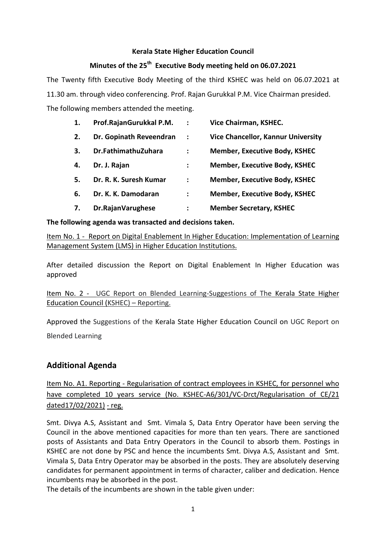### **Kerala State Higher Education Council**

# **Minutes of the 25th Executive Body meeting held on 06.07.2021**

The Twenty fifth Executive Body Meeting of the third KSHEC was held on 06.07.2021 at 11.30 am. through video conferencing. Prof. Rajan Gurukkal P.M. Vice Chairman presided. The following members attended the meeting.

| 1. | Prof.RajanGurukkal P.M. | $\ddot{\cdot}$ | Vice Chairman, KSHEC.                     |
|----|-------------------------|----------------|-------------------------------------------|
| 2. | Dr. Gopinath Reveendran | $\ddot{\cdot}$ | <b>Vice Chancellor, Kannur University</b> |
| 3. | Dr.FathimathuZuhara     | :              | <b>Member, Executive Body, KSHEC</b>      |
| 4. | Dr. J. Rajan            | $\ddot{\cdot}$ | <b>Member, Executive Body, KSHEC</b>      |
| 5. | Dr. R. K. Suresh Kumar  | :              | <b>Member, Executive Body, KSHEC</b>      |
| 6. | Dr. K. K. Damodaran     | ፡              | <b>Member, Executive Body, KSHEC</b>      |
| 7. | Dr.RajanVarughese       | :              | <b>Member Secretary, KSHEC</b>            |

# **The following agenda was transacted and decisions taken.**

Item No. 1 - Report on Digital Enablement In Higher Education: Implementation of Learning Management System (LMS) in Higher Education Institutions.

After detailed discussion the Report on Digital Enablement In Higher Education was approved

Item No. 2 - UGC Report on Blended Learning-Suggestions of The Kerala State Higher Education Council (KSHEC) – Reporting.

Approved the Suggestions of the Kerala State Higher Education Council on UGC Report on Blended Learning

# **Additional Agenda**

Item No. A1. Reporting - Regularisation of contract employees in KSHEC, for personnel who have completed 10 years service (No. KSHEC-A6/301/VC-Drct/Regularisation of CE/21 dated17/02/2021) - reg.

Smt. Divya A.S, Assistant and Smt. Vimala S, Data Entry Operator have been serving the Council in the above mentioned capacities for more than ten years. There are sanctioned posts of Assistants and Data Entry Operators in the Council to absorb them. Postings in KSHEC are not done by PSC and hence the incumbents Smt. Divya A.S, Assistant and Smt. Vimala S, Data Entry Operator may be absorbed in the posts. They are absolutely deserving candidates for permanent appointment in terms of character, caliber and dedication. Hence incumbents may be absorbed in the post.

The details of the incumbents are shown in the table given under: